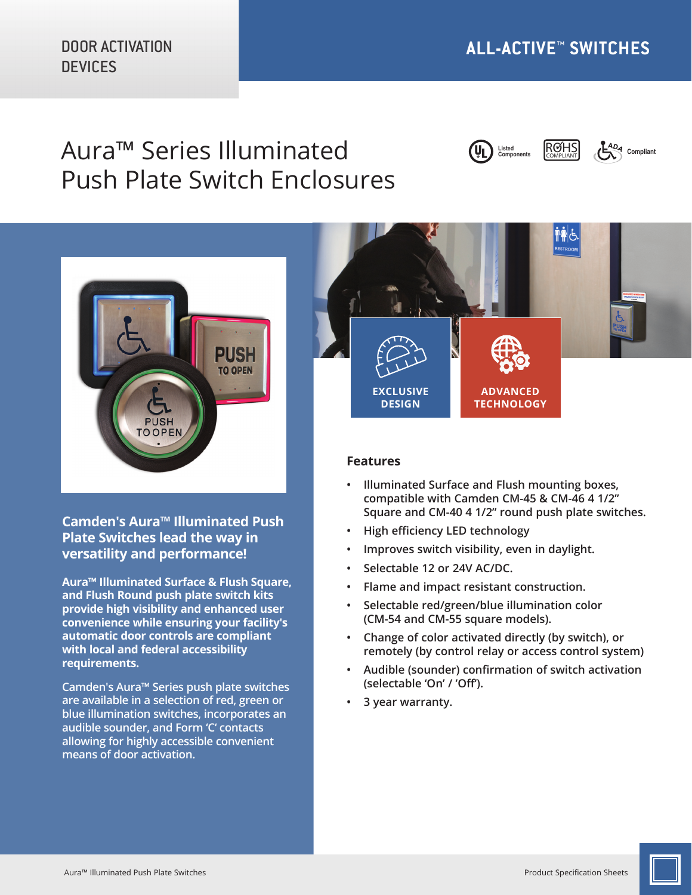# Aura™ Series Illuminated Push Plate Switch Enclosures







**Camden's Aura™ Illuminated Push Plate Switches lead the way in versatility and performance!** 

**Aura™ Illuminated Surface & Flush Square, and Flush Round push plate switch kits provide high visibility and enhanced user convenience while ensuring your facility's automatic door controls are compliant with local and federal accessibility requirements.**

**Camden's Aura™ Series push plate switches are available in a selection of red, green or blue illumination switches, incorporates an audible sounder, and Form 'C' contacts allowing for highly accessible convenient means of door activation.**



### **Features**

- **• Illuminated Surface and Flush mounting boxes, compatible with Camden CM-45 & CM-46 4 1/2" Square and CM-40 4 1/2" round push plate switches.**
- **• High efficiency LED technology**
- **• Improves switch visibility, even in daylight.**
- **• Selectable 12 or 24V AC/DC.**
- **• Flame and impact resistant construction.**
- **• Selectable red/green/blue illumination color (CM-54 and CM-55 square models).**
- **• Change of color activated directly (by switch), or remotely (by control relay or access control system)**
- **• Audible (sounder) confirmation of switch activation (selectable 'On' / 'Off').**
- **• 3 year warranty.**